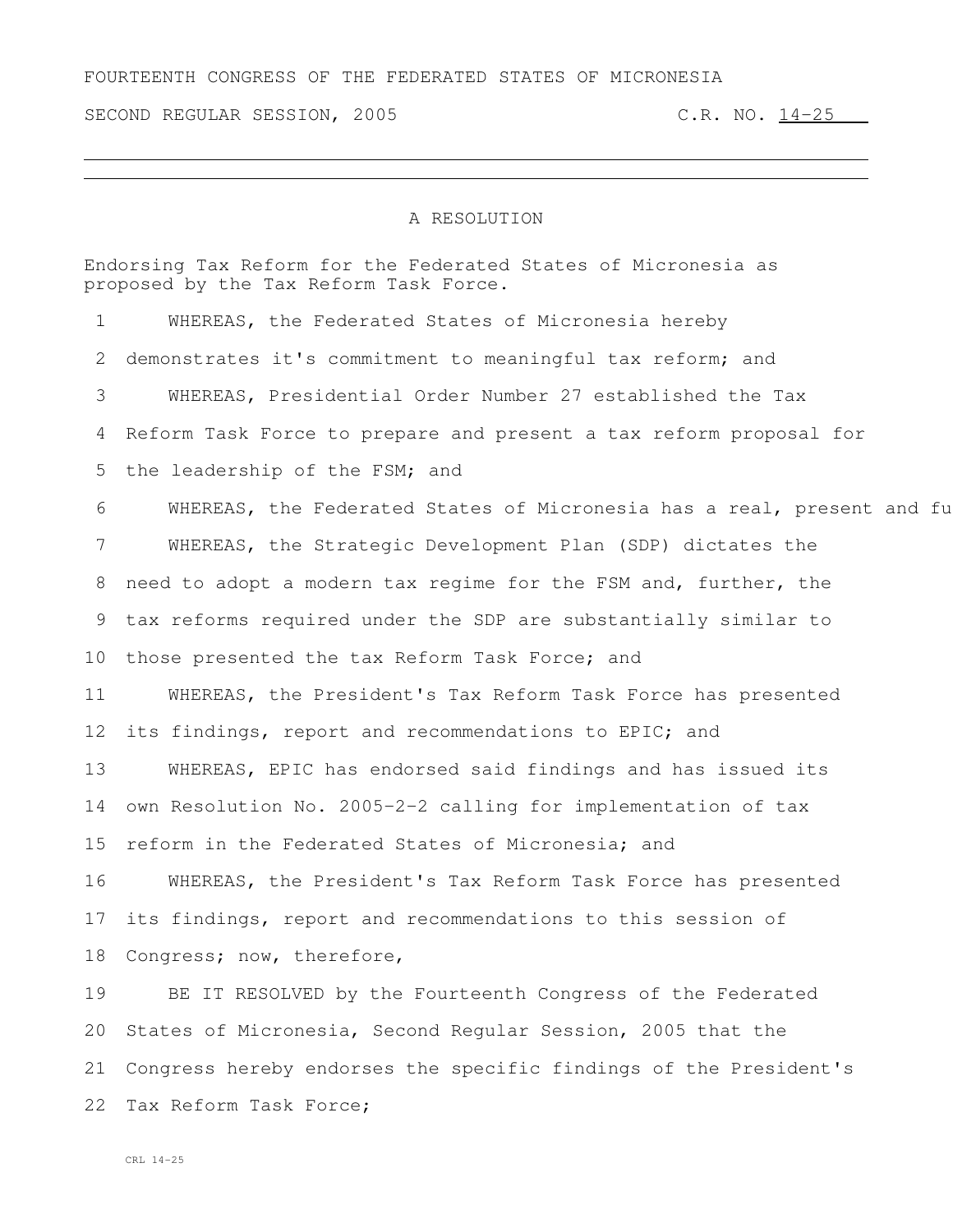FOURTEENTH CONGRESS OF THE FEDERATED STATES OF MICRONESIA

SECOND REGULAR SESSION, 2005 C.R. NO. 14-25

## A RESOLUTION

Endorsing Tax Reform for the Federated States of Micronesia as proposed by the Tax Reform Task Force. WHEREAS, the Federated States of Micronesia hereby demonstrates it's commitment to meaningful tax reform; and WHEREAS, Presidential Order Number 27 established the Tax Reform Task Force to prepare and present a tax reform proposal for 5 the leadership of the FSM; and 6 WHEREAS, the Federated States of Micronesia has a real, present and fu WHEREAS, the Strategic Development Plan (SDP) dictates the need to adopt a modern tax regime for the FSM and, further, the tax reforms required under the SDP are substantially similar to 10 those presented the tax Reform Task Force; and WHEREAS, the President's Tax Reform Task Force has presented its findings, report and recommendations to EPIC; and WHEREAS, EPIC has endorsed said findings and has issued its own Resolution No. 2005-2-2 calling for implementation of tax reform in the Federated States of Micronesia; and WHEREAS, the President's Tax Reform Task Force has presented its findings, report and recommendations to this session of Congress; now, therefore, BE IT RESOLVED by the Fourteenth Congress of the Federated States of Micronesia, Second Regular Session, 2005 that the Congress hereby endorses the specific findings of the President's Tax Reform Task Force;

CRL 14-25